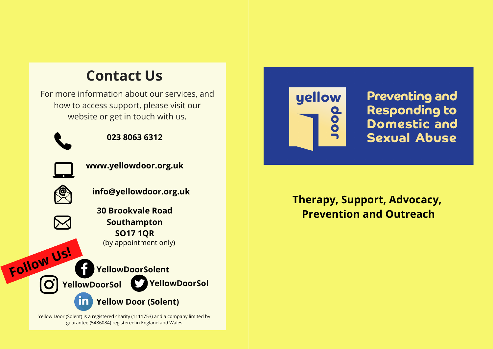# **Contact Us**

For more information about our services, and how to access support, please visit our website or get in touch with us.



**023 8063 6312**



**www.yellowdoor.org.uk**



**Follow Us!**

 $\mathbf{O}^{\mathsf{i}}$ 

**info@yellowdoor.org.uk**

**30 Brookvale Road Southampton SO17 1QR** (by appointment only)

**YellowDoorSolent YellowDoorSol YellowDoorSol**

**Yellow Door (Solent)**

Yellow Door (Solent) is a registered charity (1111753) and a company limited by guarantee (5486084) registered in England and Wales.



**Preventing and Responding to** Domestic and **Sexual Abuse** 

**Therapy, Support, Advocacy, Prevention and Outreach**